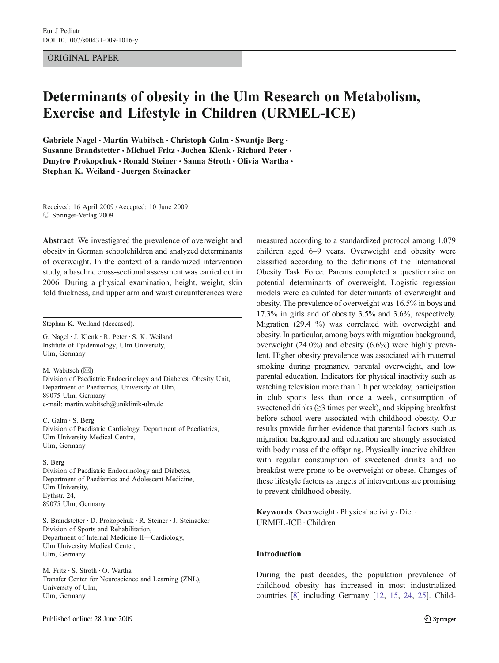# ORIGINAL PAPER

# Determinants of obesity in the Ulm Research on Metabolism, Exercise and Lifestyle in Children (URMEL-ICE)

Gabriele Nagel · Martin Wabitsch · Christoph Galm · Swantje Berg · Susanne Brandstetter · Michael Fritz · Jochen Klenk · Richard Peter · Dmytro Prokopchuk · Ronald Steiner · Sanna Stroth · Olivia Wartha · Stephan K. Weiland · Juergen Steinacker

Received: 16 April 2009 /Accepted: 10 June 2009  $\oslash$  Springer-Verlag 2009

Abstract We investigated the prevalence of overweight and obesity in German schoolchildren and analyzed determinants of overweight. In the context of a randomized intervention study, a baseline cross-sectional assessment was carried out in 2006. During a physical examination, height, weight, skin fold thickness, and upper arm and waist circumferences were

Stephan K. Weiland (deceased).

G. Nagel : J. Klenk : R. Peter : S. K. Weiland Institute of Epidemiology, Ulm University, Ulm, Germany

M. Wabitsch (*\**) Division of Paediatric Endocrinology and Diabetes, Obesity Unit, Department of Paediatrics, University of Ulm, 89075 Ulm, Germany e-mail: martin.wabitsch@uniklinik-ulm.de

C. Galm : S. Berg Division of Paediatric Cardiology, Department of Paediatrics, Ulm University Medical Centre, Ulm, Germany

#### S. Berg

Division of Paediatric Endocrinology and Diabetes, Department of Paediatrics and Adolescent Medicine, Ulm University, Eythstr. 24, 89075 Ulm, Germany

S. Brandstetter : D. Prokopchuk : R. Steiner : J. Steinacker Division of Sports and Rehabilitation, Department of Internal Medicine II—Cardiology, Ulm University Medical Center, Ulm, Germany

M. Fritz : S. Stroth : O. Wartha Transfer Center for Neuroscience and Learning (ZNL), University of Ulm, Ulm, Germany

measured according to a standardized protocol among 1.079 children aged 6–9 years. Overweight and obesity were classified according to the definitions of the International Obesity Task Force. Parents completed a questionnaire on potential determinants of overweight. Logistic regression models were calculated for determinants of overweight and obesity. The prevalence of overweight was 16.5% in boys and 17.3% in girls and of obesity 3.5% and 3.6%, respectively. Migration (29.4 %) was correlated with overweight and obesity. In particular, among boys with migration background, overweight (24.0%) and obesity (6.6%) were highly prevalent. Higher obesity prevalence was associated with maternal smoking during pregnancy, parental overweight, and low parental education. Indicators for physical inactivity such as watching television more than 1 h per weekday, participation in club sports less than once a week, consumption of sweetened drinks  $(≥3$  times per week), and skipping breakfast before school were associated with childhood obesity. Our results provide further evidence that parental factors such as migration background and education are strongly associated with body mass of the offspring. Physically inactive children with regular consumption of sweetened drinks and no breakfast were prone to be overweight or obese. Changes of these lifestyle factors as targets of interventions are promising to prevent childhood obesity.

Keywords Overweight . Physical activity . Diet . URMEL-ICE . Children

## Introduction

During the past decades, the population prevalence of childhood obesity has increased in most industrialized countries [[8\]](#page-6-0) including Germany [[12,](#page-7-0) [15](#page-7-0), [24](#page-7-0), [25\]](#page-7-0). Child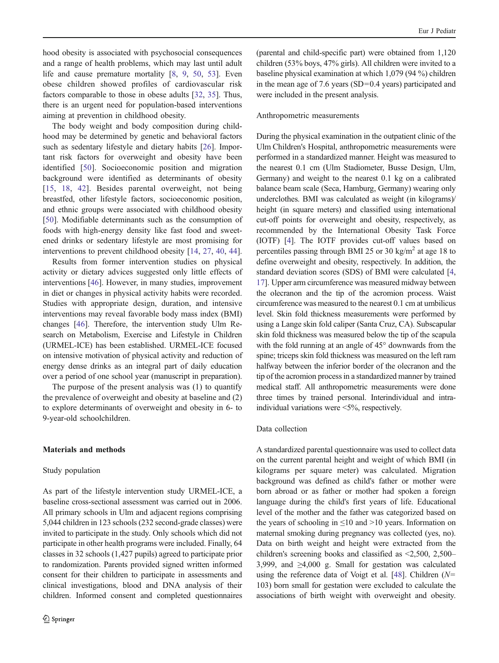hood obesity is associated with psychosocial consequences and a range of health problems, which may last until adult life and cause premature mortality [\[8](#page-6-0), [9,](#page-7-0) [50](#page-8-0), [53\]](#page-8-0). Even obese children showed profiles of cardiovascular risk factors comparable to those in obese adults [\[32](#page-7-0), [35\]](#page-7-0). Thus, there is an urgent need for population-based interventions aiming at prevention in childhood obesity.

The body weight and body composition during childhood may be determined by genetic and behavioral factors such as sedentary lifestyle and dietary habits [\[26](#page-7-0)]. Important risk factors for overweight and obesity have been identified [\[50](#page-8-0)]. Socioeconomic position and migration background were identified as determinants of obesity [\[15,](#page-7-0) [18,](#page-7-0) [42](#page-7-0)]. Besides parental overweight, not being breastfed, other lifestyle factors, socioeconomic position, and ethnic groups were associated with childhood obesity [\[50](#page-8-0)]. Modifiable determinants such as the consumption of foods with high-energy density like fast food and sweetened drinks or sedentary lifestyle are most promising for interventions to prevent childhood obesity [[14,](#page-7-0) [27](#page-7-0), [40,](#page-7-0) [44](#page-7-0)].

Results from former intervention studies on physical activity or dietary advices suggested only little effects of interventions [\[46](#page-7-0)]. However, in many studies, improvement in diet or changes in physical activity habits were recorded. Studies with appropriate design, duration, and intensive interventions may reveal favorable body mass index (BMI) changes [\[46](#page-7-0)]. Therefore, the intervention study Ulm Research on Metabolism, Exercise and Lifestyle in Children (URMEL-ICE) has been established. URMEL-ICE focused on intensive motivation of physical activity and reduction of energy dense drinks as an integral part of daily education over a period of one school year (manuscript in preparation).

The purpose of the present analysis was (1) to quantify the prevalence of overweight and obesity at baseline and (2) to explore determinants of overweight and obesity in 6- to 9-year-old schoolchildren.

#### Materials and methods

#### Study population

As part of the lifestyle intervention study URMEL-ICE, a baseline cross-sectional assessment was carried out in 2006. All primary schools in Ulm and adjacent regions comprising 5,044 children in 123 schools (232 second-grade classes) were invited to participate in the study. Only schools which did not participate in other health programs were included. Finally, 64 classes in 32 schools (1,427 pupils) agreed to participate prior to randomization. Parents provided signed written informed consent for their children to participate in assessments and clinical investigations, blood and DNA analysis of their children. Informed consent and completed questionnaires

(parental and child-specific part) were obtained from 1,120 children (53% boys, 47% girls). All children were invited to a baseline physical examination at which 1,079 (94 %) children in the mean age of 7.6 years (SD=0.4 years) participated and were included in the present analysis.

#### Anthropometric measurements

During the physical examination in the outpatient clinic of the Ulm Children's Hospital, anthropometric measurements were performed in a standardized manner. Height was measured to the nearest 0.1 cm (Ulm Stadiometer, Busse Design, Ulm, Germany) and weight to the nearest 0.1 kg on a calibrated balance beam scale (Seca, Hamburg, Germany) wearing only underclothes. BMI was calculated as weight (in kilograms)/ height (in square meters) and classified using international cut-off points for overweight and obesity, respectively, as recommended by the International Obesity Task Force (IOTF) [[4](#page-6-0)]. The IOTF provides cut-off values based on percentiles passing through BMI 25 or 30 kg/m<sup>2</sup> at age 18 to define overweight and obesity, respectively. In addition, the standard deviation scores (SDS) of BMI were calculated [[4,](#page-6-0) [17\]](#page-7-0). Upper arm circumference was measured midway between the olecranon and the tip of the acromion process. Waist circumference was measured to the nearest 0.1 cm at umbilicus level. Skin fold thickness measurements were performed by using a Lange skin fold caliper (Santa Cruz, CA). Subscapular skin fold thickness was measured below the tip of the scapula with the fold running at an angle of 45° downwards from the spine; triceps skin fold thickness was measured on the left ram halfway between the inferior border of the olecranon and the tip of the acromion process in a standardized manner by trained medical staff. All anthropometric measurements were done three times by trained personal. Interindividual and intraindividual variations were <5%, respectively.

#### Data collection

A standardized parental questionnaire was used to collect data on the current parental height and weight of which BMI (in kilograms per square meter) was calculated. Migration background was defined as child's father or mother were born abroad or as father or mother had spoken a foreign language during the child's first years of life. Educational level of the mother and the father was categorized based on the years of schooling in  $\leq 10$  and  $> 10$  years. Information on maternal smoking during pregnancy was collected (yes, no). Data on birth weight and height were extracted from the children's screening books and classified as <2,500, 2,500– 3,999, and ≥4,000 g. Small for gestation was calculated using the reference data of Voigt et al. [\[48](#page-8-0)]. Children  $(N=$ 103) born small for gestation were excluded to calculate the associations of birth weight with overweight and obesity.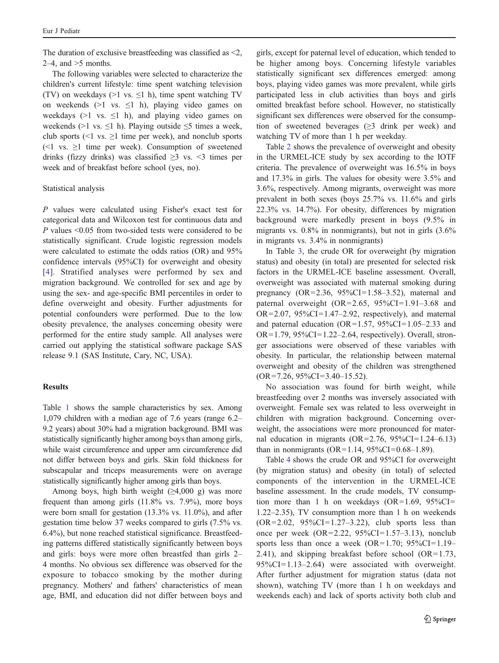The duration of exclusive breastfeeding was classified as <2, 2–4, and  $>5$  months.

The following variables were selected to characterize the children's current lifestyle: time spent watching television (TV) on weekdays ( $>1$  vs.  $\leq 1$  h), time spent watching TV on weekends (>1 vs.  $\leq$ 1 h), playing video games on weekdays ( $>1$  vs.  $\leq 1$  h), and playing video games on weekends (>1 vs.  $\leq$ 1 h). Playing outside  $\leq$ 5 times a week, club sports (<1 vs.  $\geq$ 1 time per week), and nonclub sports  $\leq 1$  vs.  $\geq 1$  time per week). Consumption of sweetened drinks (fizzy drinks) was classified  $\geq$ 3 vs. <3 times per week and of breakfast before school (yes, no).

# Statistical analysis

P values were calculated using Fisher's exact test for categorical data and Wilcoxon test for continuous data and P values <0.05 from two-sided tests were considered to be statistically significant. Crude logistic regression models were calculated to estimate the odds ratios (OR) and 95% confidence intervals (95%CI) for overweight and obesity [\[4\]](#page-6-0). Stratified analyses were performed by sex and migration background. We controlled for sex and age by using the sex- and age-specific BMI percentiles in order to define overweight and obesity. Further adjustments for potential confounders were performed. Due to the low obesity prevalence, the analyses concerning obesity were performed for the entire study sample. All analyses were carried out applying the statistical software package SAS release 9.1 (SAS Institute, Cary, NC, USA).

# **Results**

Table [1](#page-3-0) shows the sample characteristics by sex. Among 1,079 children with a median age of 7.6 years (range 6.2– 9.2 years) about 30% had a migration background. BMI was statistically significantly higher among boys than among girls, while waist circumference and upper arm circumference did not differ between boys and girls. Skin fold thickness for subscapular and triceps measurements were on average statistically significantly higher among girls than boys.

Among boys, high birth weight  $(\geq 4,000 \text{ g})$  was more frequent than among girls (11.8% vs. 7.9%), more boys were born small for gestation (13.3% vs. 11.0%), and after gestation time below 37 weeks compared to girls (7.5% vs. 6.4%), but none reached statistical significance. Breastfeeding patterns differed statistically significantly between boys and girls: boys were more often breastfed than girls 2– 4 months. No obvious sex difference was observed for the exposure to tobacco smoking by the mother during pregnancy. Mothers' and fathers' characteristics of mean age, BMI, and education did not differ between boys and girls, except for paternal level of education, which tended to be higher among boys. Concerning lifestyle variables statistically significant sex differences emerged: among boys, playing video games was more prevalent, while girls participated less in club activities than boys and girls omitted breakfast before school. However, no statistically significant sex differences were observed for the consumption of sweetened beverages  $(\geq 3)$  drink per week) and watching TV of more than 1 h per weekday.

Table [2](#page-4-0) shows the prevalence of overweight and obesity in the URMEL-ICE study by sex according to the IOTF criteria. The prevalence of overweight was 16.5% in boys and 17.3% in girls. The values for obesity were 3.5% and 3.6%, respectively. Among migrants, overweight was more prevalent in both sexes (boys 25.7% vs. 11.6% and girls 22.3% vs. 14.7%). For obesity, differences by migration background were markedly present in boys (9.5% in migrants vs. 0.8% in nonmigrants), but not in girls (3.6% in migrants vs. 3.4% in nonmigrants)

In Table [3,](#page-4-0) the crude OR for overweight (by migration status) and obesity (in total) are presented for selected risk factors in the URMEL-ICE baseline assessment. Overall, overweight was associated with maternal smoking during pregnancy  $(OR = 2.36, 95\% CI = 1.58 - 3.52)$ , maternal and paternal overweight (OR=2.65, 95%CI=1.91–3.68 and OR=2.07, 95%CI=1.47–2.92, respectively), and maternal and paternal education (OR=1.57,  $95\%$ CI=1.05–2.33 and  $OR=1.79$ ,  $95\%CI=1.22-2.64$ , respectively). Overall, stronger associations were observed of these variables with obesity. In particular, the relationship between maternal overweight and obesity of the children was strengthened  $(OR = 7.26, 95\% CI = 3.40 - 15.52).$ 

No association was found for birth weight, while breastfeeding over 2 months was inversely associated with overweight. Female sex was related to less overweight in children with migration background. Concerning overweight, the associations were more pronounced for maternal education in migrants ( $OR = 2.76$ ,  $95\%CI = 1.24 - 6.13$ ) than in nonmigrants ( $OR=1.14$ ,  $95\%CI=0.68-1.89$ ).

Table [4](#page-5-0) shows the crude OR and 95%CI for overweight (by migration status) and obesity (in total) of selected components of the intervention in the URMEL-ICE baseline assessment. In the crude models, TV consumption more than 1 h on weekdays  $(OR=1.69, 95\%CI=$ 1.22–2.35), TV consumption more than 1 h on weekends  $(OR = 2.02, 95\% CI = 1.27 - 3.22)$ , club sports less than once per week  $(OR = 2.22, 95\% CI = 1.57 - 3.13)$ , nonclub sports less than once a week  $(OR=1.70; 95\%CI=1.19-$ 2.41), and skipping breakfast before school  $(OR=1.73,$ 95%CI=1.13–2.64) were associated with overweight. After further adjustment for migration status (data not shown), watching TV (more than 1 h on weekdays and weekends each) and lack of sports activity both club and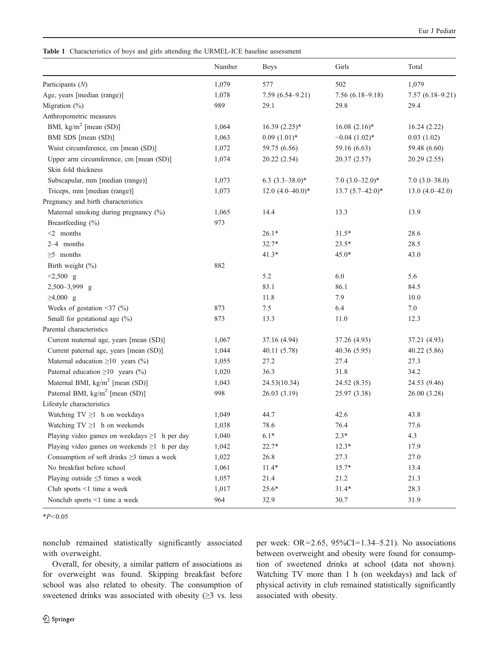<span id="page-3-0"></span>Table 1 Characteristics of boys and girls attending the URMEL-ICE baseline assessment

|                                                    | Number | <b>Boys</b>         | Girls              | Total             |
|----------------------------------------------------|--------|---------------------|--------------------|-------------------|
| Participants (N)                                   | 1,079  | 577                 | 502                | 1,079             |
| Age, years [median (range)]                        | 1,078  | $7.59(6.54 - 9.21)$ | $7.56(6.18-9.18)$  | $7.57(6.18-9.21)$ |
| Migration (%)                                      | 989    | 29.1                | 29.8               | 29.4              |
| Anthropometric measures                            |        |                     |                    |                   |
| BMI, $\text{kg/m}^2$ [mean (SD)]                   | 1,064  | $16.39(2.25)$ *     | $16.08~(2.16)*$    | 16.24(2.22)       |
| BMI SDS [mean (SD)]                                | 1,063  | $0.09(1.01)$ *      | $-0.04$ $(1.02)*$  | 0.03(1.02)        |
| Waist circumference, cm [mean (SD)]                | 1,072  | 59.75 (6.56)        | 59.16 (6.63)       | 59.48 (6.60)      |
| Upper arm circumference, cm [mean (SD)]            | 1,074  | 20.22 (2.54)        | 20.37 (2.57)       | 20.29 (2.55)      |
| Skin fold thickness                                |        |                     |                    |                   |
| Subscapular, mm [median (range)]                   | 1,073  | $6.3(3.3-38.0)$ *   | $7.0(3.0-32.0)*$   | $7.0(3.0-38.0)$   |
| Triceps, mm [median (range)]                       | 1,073  | 12.0 $(4.0-40.0)*$  | $13.7(5.7-42.0)$ * | $13.0(4.0-42.0)$  |
| Pregnancy and birth characteristics                |        |                     |                    |                   |
| Maternal smoking during pregnancy (%)              | 1,065  | 14.4                | 13.3               | 13.9              |
| Breastfeeding (%)                                  | 973    |                     |                    |                   |
| $<$ 2 months                                       |        | $26.1*$             | $31.5*$            | 28.6              |
| 2-4 months                                         |        | $32.7*$             | $23.5*$            | 28.5              |
| $\geq$ 5 months                                    |        | $41.3*$             | 45.0*              | 43.0              |
| Birth weight (%)                                   | 882    |                     |                    |                   |
| $< 2,500$ g                                        |        | 5.2                 | 6.0                | 5.6               |
| 2,500-3,999 g                                      |        | 83.1                | 86.1               | 84.5              |
| $≥4,000$ g                                         |        | 11.8                | 7.9                | 10.0              |
| Weeks of gestation $\leq$ 37 (%)                   | 873    | 7.5                 | 6.4                | 7.0               |
| Small for gestational age (%)                      | 873    | 13.3                | 11.0               | 12.3              |
| Parental characteristics                           |        |                     |                    |                   |
| Current maternal age, years [mean (SD)]            | 1,067  | 37.16 (4.94)        | 37.26 (4.93)       | 37.21 (4.93)      |
| Current paternal age, years [mean (SD)]            | 1,044  | 40.11 (5.78)        | 40.36 (5.95)       | 40.22 (5.86)      |
| Maternal education $\geq 10$ years (%)             | 1,055  | 27.2                | 27.4               | 27.3              |
| Paternal education $\geq 10$ years (%)             | 1,020  | 36.3                | 31.8               | 34.2              |
| Maternal BMI, $\text{kg/m}^2$ [mean (SD)]          | 1,043  | 24.53(10.34)        | 24.52 (8.35)       | 24.53 (9.46)      |
| Paternal BMI, kg/m <sup>2</sup> [mean (SD)]        | 998    | 26.03(3.19)         | 25.97 (3.38)       | 26.00 (3.28)      |
| Lifestyle characteristics                          |        |                     |                    |                   |
| Watching $TV \ge 1$ h on weekdays                  | 1,049  | 44.7                | 42.6               | 43.8              |
| Watching $TV \ge 1$ h on weekends                  | 1,038  | 78.6                | 76.4               | 77.6              |
| Playing video games on weekdays $\geq 1$ h per day | 1,040  | $6.1*$              | $2.3*$             | 4.3               |
| Playing video games on weekends $\geq 1$ h per day | 1,042  | 22.7*               | $12.3*$            | 17.9              |
| Consumption of soft drinks $\geq$ 3 times a week   | 1,022  | 26.8                | 27.3               | 27.0              |
| No breakfast before school                         | 1,061  | $11.4*$             | $15.7*$            | 13.4              |
| Playing outside $\leq$ 5 times a week              | 1,057  | 21.4                | 21.2               | 21.3              |
| Club sports $\leq 1$ time a week                   | 1,017  | $25.6*$             | $31.4*$            | 28.3              |
| Nonclub sports <1 time a week                      | 964    | 32.9                | 30.7               | 31.9              |

 $*P<0.05$ 

nonclub remained statistically significantly associated with overweight.

Overall, for obesity, a similar pattern of associations as for overweight was found. Skipping breakfast before school was also related to obesity. The consumption of sweetened drinks was associated with obesity (≥3 vs. less per week: OR=2.65, 95%CI=1.34–5.21). No associations between overweight and obesity were found for consumption of sweetened drinks at school (data not shown). Watching TV more than 1 h (on weekdays) and lack of physical activity in club remained statistically significantly associated with obesity.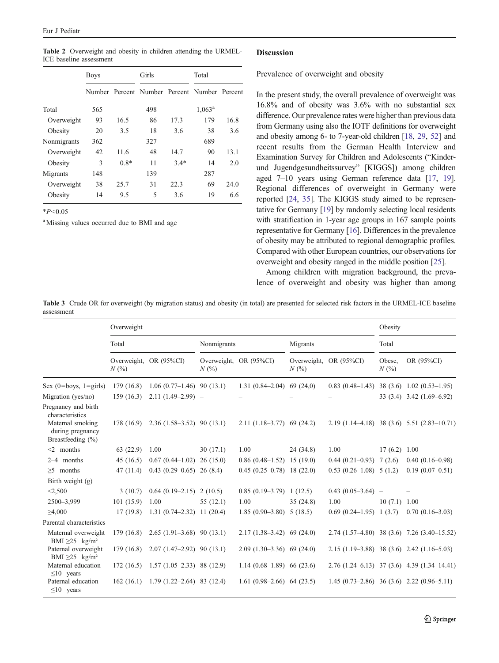<span id="page-4-0"></span>Table 2 Overweight and obesity in children attending the URMEL-ICE baseline assessment

|             | <b>Boys</b> |        | Girls |        | Total                                        |      |
|-------------|-------------|--------|-------|--------|----------------------------------------------|------|
|             |             |        |       |        | Number Percent Number Percent Number Percent |      |
| Total       | 565         |        | 498   |        | $1,063^{\rm a}$                              |      |
| Overweight  | 93          | 16.5   | 86    | 17.3   | 179                                          | 16.8 |
| Obesity     | 20          | 3.5    | 18    | 3.6    | 38                                           | 3.6  |
| Nonmigrants | 362         |        | 327   |        | 689                                          |      |
| Overweight  | 42          | 11.6   | 48    | 14.7   | 90                                           | 13.1 |
| Obesity     | 3           | $0.8*$ | 11    | $3.4*$ | 14                                           | 2.0  |
| Migrants    | 148         |        | 139   |        | 287                                          |      |
| Overweight  | 38          | 25.7   | 31    | 22.3   | 69                                           | 24.0 |
| Obesity     | 14          | 9.5    | 5     | 3.6    | 19                                           | 6.6  |

 $*P<0.05$ 

<sup>a</sup> Missing values occurred due to BMI and age

#### **Discussion**

Prevalence of overweight and obesity

In the present study, the overall prevalence of overweight was 16.8% and of obesity was 3.6% with no substantial sex difference. Our prevalence rates were higher than previous data from Germany using also the IOTF definitions for overweight and obesity among 6- to 7-year-old children [\[18,](#page-7-0) [29](#page-7-0), [52\]](#page-8-0) and recent results from the German Health Interview and Examination Survey for Children and Adolescents ("Kinderund Jugendgesundheitssurvey" [KIGGS]) among children aged 7–10 years using German reference data [\[17,](#page-7-0) [19\]](#page-7-0). Regional differences of overweight in Germany were reported [\[24,](#page-7-0) [35\]](#page-7-0). The KIGGS study aimed to be representative for Germany [\[19\]](#page-7-0) by randomly selecting local residents with stratification in 1-year age groups in 167 sample points representative for Germany [[16](#page-7-0)]. Differences in the prevalence of obesity may be attributed to regional demographic profiles. Compared with other European countries, our observations for overweight and obesity ranged in the middle position [\[25](#page-7-0)].

Among children with migration background, the prevalence of overweight and obesity was higher than among

Table 3 Crude OR for overweight (by migration status) and obesity (in total) are presented for selected risk factors in the URMEL-ICE baseline assessment

|                                                                                                         | Overweight |                                            |             |                             |           |                           | Obesity           |                                              |
|---------------------------------------------------------------------------------------------------------|------------|--------------------------------------------|-------------|-----------------------------|-----------|---------------------------|-------------------|----------------------------------------------|
|                                                                                                         | Total      |                                            | Nonmigrants |                             | Migrants  |                           | Total             |                                              |
|                                                                                                         | N(%        | Overweight, OR (95%CI)                     | N(%         | Overweight, OR (95%CI)      | N(%       | Overweight, OR (95%CI)    | Obese,<br>$N(\%)$ | OR (95%CI)                                   |
| Sex $(0 = boys, 1 = girls)$                                                                             |            | $179(16.8)$ 1.06 $(0.77-1.46)$ 90 $(13.1)$ |             | $1.31(0.84-2.04)$ 69 (24,0) |           |                           |                   | $0.83(0.48-1.43)$ 38 (3.6) 1.02 (0.53-1.95)  |
| Migration (yes/no)                                                                                      | 159(16.3)  | $2.11(1.49-2.99) -$                        |             |                             |           |                           |                   | $33(3.4)$ $3.42(1.69-6.92)$                  |
| Pregnancy and birth<br>characteristics<br>Maternal smoking<br>during pregnancy<br>Breastfeeding $(\% )$ |            | $178(16.9)$ $2.36(1.58-3.52)$ 90 (13.1)    |             | $2.11(1.18-3.77)$ 69 (24.2) |           |                           |                   | $2.19(1.14-4.18)$ 38 (3.6) 5.51 (2.83-10.71) |
| $<$ 2 months                                                                                            | 63 (22.9)  | 1.00                                       | 30(17.1)    | 1.00                        | 24 (34.8) | 1.00                      | 17(6.2)1.00       |                                              |
| 2-4 months                                                                                              | 45(16.5)   | $0.67(0.44-1.02)$ 26 (15.0)                |             | $0.86(0.48-1.52)$ 15 (19.0) |           | $0.44(0.21-0.93)$ 7 (2.6) |                   | $0.40(0.16-0.98)$                            |
| $>5$ months                                                                                             | 47(11.4)   | $0.43(0.29-0.65)$ 26 (8.4)                 |             | $0.45(0.25-0.78)$ 18 (22.0) |           | $0.53(0.26-1.08)$ 5 (1.2) |                   | $0.19(0.07-0.51)$                            |
| Birth weight $(g)$                                                                                      |            |                                            |             |                             |           |                           |                   |                                              |
| < 2,500                                                                                                 | 3(10.7)    | $0.64(0.19-2.15)$ 2 (10.5)                 |             | $0.85(0.19-3.79)$ 1 (12.5)  |           | $0.43(0.05-3.64)$ -       |                   |                                              |
| 2500-3,999                                                                                              | 101(15.9)  | 1.00                                       | 55(12.1)    | 1.00                        | 35(24.8)  | 1.00                      | 10(7.1)1.00       |                                              |
| $\geq 4,000$                                                                                            | 17(19.8)   | $1.31(0.74-2.32)$ 11 (20.4)                |             | $1.85(0.90-3.80)$ 5 (18.5)  |           | $0.69(0.24-1.95)$ 1 (3.7) |                   | $0.70(0.16-3.03)$                            |
| Parental characteristics                                                                                |            |                                            |             |                             |           |                           |                   |                                              |
| Maternal overweight<br>BMI $\geq$ 25 kg/m <sup>2</sup>                                                  | 179(16.8)  | $2.65(1.91-3.68)$ 90 (13.1)                |             | $2.17(1.38-3.42)$ 69 (24.0) |           |                           |                   | $2.74(1.57-4.80)$ 38 (3.6) 7.26 (3.40-15.52) |
| Paternal overweight<br>BMI $\geq$ 25 kg/m <sup>2</sup>                                                  | 179(16.8)  | $2.07(1.47-2.92)$ 90 (13.1)                |             | $2.09(1.30-3.36)$ 69 (24.0) |           |                           |                   | $2.15(1.19-3.88)$ 38 (3.6) $2.42(1.16-5.03)$ |
| Maternal education<br>$\leq 10$ years                                                                   | 172(16.5)  | $1.57(1.05-2.33)$ 88 (12.9)                |             | $1.14(0.68-1.89)$ 66 (23.6) |           |                           |                   | $2.76(1.24-6.13)$ 37 (3.6) 4.39 (1.34-14.41) |
| Paternal education<br>$\leq 10$ years                                                                   |            | $162(16.1)$ 1.79 $(1.22-2.64)$ 83 $(12.4)$ |             | $1.61(0.98-2.66)$ 64 (23.5) |           |                           |                   | $1.45(0.73-2.86)$ 36 (3.6) 2.22 (0.96-5.11)  |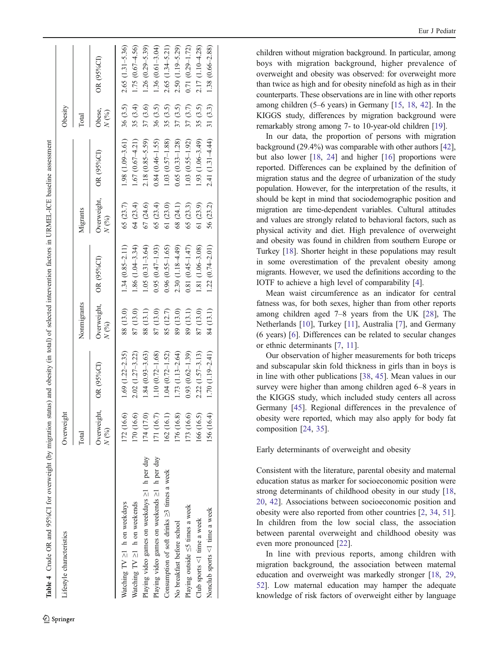<span id="page-5-0"></span>

| Lifestyle characteristics                        | Overweight          |                        |                     |                     |                           |                     | Obesity                                                                             |                     |
|--------------------------------------------------|---------------------|------------------------|---------------------|---------------------|---------------------------|---------------------|-------------------------------------------------------------------------------------|---------------------|
|                                                  | Total               |                        | Nonmigrants         |                     | Migrants                  |                     | Total                                                                               |                     |
|                                                  | Overweight,<br>N(%) | OR (95%CI)             | Overweight,<br>N(%) | OR (95%CI)          | Overweight,<br>$N($ % $)$ | OR (95%CI)          | Obese,<br>$N$ $\left(\!\! \begin{array}{c} \times \\ \times \end{array}\!\!\right)$ | OR (95%CI)          |
| Watching $TV \ge 1$ h on weekdays                | 172 (16.6)          | $1.69$ $(1.22 - 2.35)$ | 88 (13.0)           | $1.34(0.85 - 2.11)$ | 65 (23.7)                 | $1.98(1.09 - 3.61)$ | 36(3.5)                                                                             | $2.65(1.31 - 5.36)$ |
| Watching $TV \ge 1$ h on weekends                | 170 (16.6)          | $2.02(1.27 - 3.22)$    | 87 (13.0)           | $1.86(1.04 - 3.34)$ | 64 (23.4)                 | $1.67(0.67 - 4.21)$ | 35 (3.4)                                                                            | 1.75 (0.67-4.56)    |
| Playing video games on weekdays ≥1 h per day     | 174 (17.0)          | $1.84(0.93 - 3.63)$    | 88 (13.1)           | $1.05(0.31 - 3.64)$ | 67 (24.6)                 | $2.18(0.85 - 5.59)$ | 37 (3.6)                                                                            | $1.26(0.29 - 5.39)$ |
| Playing video games on weekends ≥1 h per day     | [71(16.7)           | $1.10(0.72 - 1.68)$    | 87 (13.0)           | $0.95(0.47 - 1.93)$ | 65 (23.4)                 | $0.84(0.46 - 1.55)$ | 36 (3.5)                                                                            | $1.36(0.61 - 3.04)$ |
| Consumption of soft drinks $\geq$ 3 times a week | 162 (16.1)          | $1.04(0.72 - 1.52)$    | 85 (12.7)           | $0.96(0.55 - 1.65)$ | 61(23.0)                  | $1.03(0.57 - 1.88)$ | 35(3.5)                                                                             | $2.65(1.34 - 5.21)$ |
| No breakfast before school                       | 176 (16.8)          | $1.73(1.13-2.64)$      | 89 (13.0)           | 2.30 (1.18-4.49)    | 68 (24.1)                 | $0.65(0.33 - 1.28)$ | 37(3.5)                                                                             | 2.50 (1.19-5.29)    |
| Playing outside $\leq$ 5 times a week            | 173 (16.6)          | $0.93(0.62 - 1.39)$    | 89 (13.1)           | $0.81(0.45 - 1.47)$ | 65 (23.3)                 | $1.03(0.55 - 1.92)$ | 37 (3.7)                                                                            | $0.71(0.29 - 1.72)$ |
| Club sports <1 time a week                       | 166 (16.5)          | $2.22(1.57 - 3.13)$    | 87 (13.0)           | 1.81 (1.06-3.08)    | 61 (23.9)                 | $1.93(1.06 - 3.49)$ | 35 (3.5)                                                                            | 2.17 (1.10-4.28)    |
| Nonclub sports <1 time a week                    | 156 (16.4)          | $1.70(1.19 - 2.41)$    | 84 (13.1)           | $1.22(0.74 - 2.01)$ | 56 (23.2)                 | $2.41(1.31 - 4.44)$ | 31(3.3)                                                                             | $1.38(0.66 - 2.88)$ |
|                                                  |                     |                        |                     |                     |                           |                     |                                                                                     |                     |

children without migration background. In particular, among boys with migration background, higher prevalence of overweight and obesity was observed: for overweight more than twice as high and for obesity ninefold as high as in their counterparts. These observations are in line with other reports among children (5 –6 years) in Germany [\[15](#page-7-0) , [18](#page-7-0) , [42\]](#page-7-0). In the KIGGS study, differences by migration background were remarkably strong among 7- to 10-year-old children [[19\]](#page-7-0).

In our data, the proportion of persons with migration background (29.4%) was comparable with other authors [[42\]](#page-7-0), but also lower [\[18](#page-7-0) , [24\]](#page-7-0) and higher [[16](#page-7-0)] proportions were reported. Differences can be explained by the definition of migration status and the degree of urbanization of the study population. However, for the interpretation of the results, it should be kept in mind that sociodemographic position and migration are time-dependent variables. Cultural attitudes and values are strongly related to behavioral factors, such as physical activity and diet. High prevalence of overweight and obesity was found in children from southern Europe or Turkey [[18](#page-7-0)]. Shorter height in these populations may result in some overestimation of the prevalent obesity among migrants. However, we used the definitions according to the IOTF to achieve a high level of comparability [ [4\]](#page-6-0).

Mean waist circumference as an indicator for central fatness was, for both sexes, higher than from other reports among children aged 7 –8 years from the UK [\[28](#page-7-0)], The Netherlands [\[10](#page-7-0)], Turkey [\[11](#page-7-0)], Australia [ [7\]](#page-6-0), and Germany (6 years) [ [6](#page-6-0)]. Differences can be related to secular changes or ethnic determinants [ [7](#page-6-0) , [11\]](#page-7-0).

Our observation of higher measurements for both triceps and subscapular skin fold thickness in girls than in boys is in line with other publications [[38](#page-7-0) , [45](#page-7-0)]. Mean values in our survey were higher than among children aged 6 –8 years in the KIGGS study, which included study centers all across Germany [[45\]](#page-7-0). Regional differences in the prevalence of obesity were reported, which may also apply for body fat composition [[24](#page-7-0) , [35](#page-7-0)].

Early determinants of overweight and obesity

Consistent with the literature, parental obesity and maternal education status as marker for socioeconomic position were strong determinants of childhood obesity in our study [[18](#page-7-0) , [20](#page-7-0) , [42](#page-7-0)]. Associations between socioeconomic position and obesity were also reported from other countries [ [2](#page-6-0) , [34](#page-7-0) , [51\]](#page-8-0). In children from the low social class, the association between parental overweight and childhood obesity was even more pronounced [\[22](#page-7-0)].

In line with previous reports, among children with migration background, the association between maternal education and overweight was markedly stronger [[18](#page-7-0) , [29](#page-7-0) , [52\]](#page-8-0). Low maternal education may hamper the adequate knowledge of risk factors of overweight either by language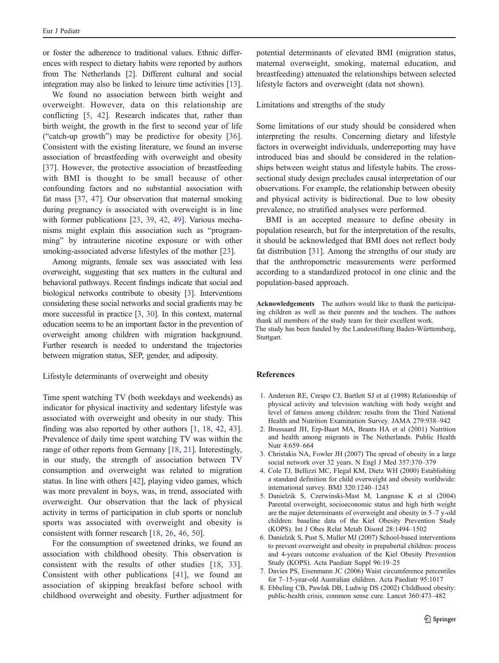<span id="page-6-0"></span>or foster the adherence to traditional values. Ethnic differences with respect to dietary habits were reported by authors from The Netherlands [2]. Different cultural and social integration may also be linked to leisure time activities [[13\]](#page-7-0).

We found no association between birth weight and overweight. However, data on this relationship are conflicting [5, [42](#page-7-0)]. Research indicates that, rather than birth weight, the growth in the first to second year of life ("catch-up growth") may be predictive for obesity [\[36](#page-7-0)]. Consistent with the existing literature, we found an inverse association of breastfeeding with overweight and obesity [\[37](#page-7-0)]. However, the protective association of breastfeeding with BMI is thought to be small because of other confounding factors and no substantial association with fat mass [\[37](#page-7-0), [47\]](#page-7-0). Our observation that maternal smoking during pregnancy is associated with overweight is in line with former publications [\[23](#page-7-0), [39](#page-7-0), [42](#page-7-0), [49\]](#page-8-0). Various mechanisms might explain this association such as "programming" by intrauterine nicotine exposure or with other smoking-associated adverse lifestyles of the mother [[23\]](#page-7-0).

Among migrants, female sex was associated with less overweight, suggesting that sex matters in the cultural and behavioral pathways. Recent findings indicate that social and biological networks contribute to obesity [3]. Interventions considering these social networks and social gradients may be more successful in practice [3, [30](#page-7-0)]. In this context, maternal education seems to be an important factor in the prevention of overweight among children with migration background. Further research is needed to understand the trajectories between migration status, SEP, gender, and adiposity.

#### Lifestyle determinants of overweight and obesity

Time spent watching TV (both weekdays and weekends) as indicator for physical inactivity and sedentary lifestyle was associated with overweight and obesity in our study. This finding was also reported by other authors [1, [18,](#page-7-0) [42](#page-7-0), [43](#page-7-0)]. Prevalence of daily time spent watching TV was within the range of other reports from Germany [[18,](#page-7-0) [21](#page-7-0)]. Interestingly, in our study, the strength of association between TV consumption and overweight was related to migration status. In line with others [\[42](#page-7-0)], playing video games, which was more prevalent in boys, was, in trend, associated with overweight. Our observation that the lack of physical activity in terms of participation in club sports or nonclub sports was associated with overweight and obesity is consistent with former research [[18,](#page-7-0) [26](#page-7-0), [46](#page-7-0), [50\]](#page-8-0).

For the consumption of sweetened drinks, we found an association with childhood obesity. This observation is consistent with the results of other studies [[18](#page-7-0), [33](#page-7-0)]. Consistent with other publications [[41\]](#page-7-0), we found an association of skipping breakfast before school with childhood overweight and obesity. Further adjustment for

potential determinants of elevated BMI (migration status, maternal overweight, smoking, maternal education, and breastfeeding) attenuated the relationships between selected lifestyle factors and overweight (data not shown).

Limitations and strengths of the study

Some limitations of our study should be considered when interpreting the results. Concerning dietary and lifestyle factors in overweight individuals, underreporting may have introduced bias and should be considered in the relationships between weight status and lifestyle habits. The crosssectional study design precludes causal interpretation of our observations. For example, the relationship between obesity and physical activity is bidirectional. Due to low obesity prevalence, no stratified analyses were performed.

BMI is an accepted measure to define obesity in population research, but for the interpretation of the results, it should be acknowledged that BMI does not reflect body fat distribution [\[31](#page-7-0)]. Among the strengths of our study are that the anthropometric measurements were performed according to a standardized protocol in one clinic and the population-based approach.

Acknowledgements The authors would like to thank the participating children as well as their parents and the teachers. The authors thank all members of the study team for their excellent work.

The study has been funded by the Landesstiftung Baden-Württemberg, Stuttgart.

#### References

- 1. Andersen RE, Crespo CJ, Bartlett SJ et al (1998) Relationship of physical activity and television watching with body weight and level of fatness among children: results from the Third National Health and Nutrition Examination Survey. JAMA 279:938–942
- 2. Brussaard JH, Erp-Baart MA, Brants HA et al (2001) Nutrition and health among migrants in The Netherlands. Public Health Nutr 4:659–664
- 3. Christakis NA, Fowler JH (2007) The spread of obesity in a large social network over 32 years. N Engl J Med 357:370–379
- 4. Cole TJ, Bellizzi MC, Flegal KM, Dietz WH (2000) Establishing a standard definition for child overweight and obesity worldwide: international survey. BMJ 320:1240–1243
- 5. Danielzik S, Czerwinski-Mast M, Langnase K et al (2004) Parental overweight, socioeconomic status and high birth weight are the major determinants of overweight and obesity in 5–7 y-old children: baseline data of the Kiel Obesity Prevention Study (KOPS). Int J Obes Relat Metab Disord 28:1494–1502
- 6. Danielzik S, Pust S, Muller MJ (2007) School-based interventions to prevent overweight and obesity in prepubertal children: process and 4-years outcome evaluation of the Kiel Obesity Prevention Study (KOPS). Acta Paediatr Suppl 96:19–25
- 7. Davies PS, Eisenmann JC (2006) Waist circumference percentiles for 7–15-year-old Australian children. Acta Paediatr 95:1017
- 8. Ebbeling CB, Pawlak DB, Ludwig DS (2002) Childhood obesity: public-health crisis, common sense cure. Lancet 360:473–482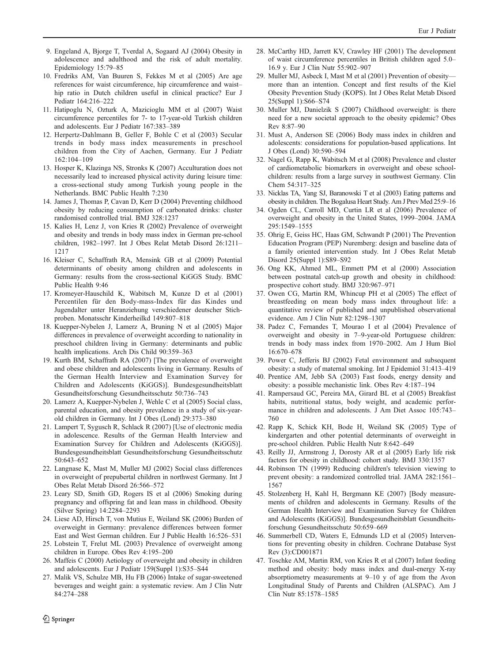- <span id="page-7-0"></span>9. Engeland A, Bjorge T, Tverdal A, Sogaard AJ (2004) Obesity in adolescence and adulthood and the risk of adult mortality. Epidemiology 15:79–85
- 10. Fredriks AM, Van Buuren S, Fekkes M et al (2005) Are age references for waist circumference, hip circumference and waist– hip ratio in Dutch children useful in clinical practice? Eur J Pediatr 164:216–222
- 11. Hatipoglu N, Ozturk A, Mazicioglu MM et al (2007) Waist circumference percentiles for 7- to 17-year-old Turkish children and adolescents. Eur J Pediatr 167:383–389
- 12. Herpertz-Dahlmann B, Geller F, Bohle C et al (2003) Secular trends in body mass index measurements in preschool children from the City of Aachen, Germany. Eur J Pediatr 162:104–109
- 13. Hosper K, Klazinga NS, Stronks K (2007) Acculturation does not necessarily lead to increased physical activity during leisure time: a cross-sectional study among Turkish young people in the Netherlands. BMC Public Health 7:230
- 14. James J, Thomas P, Cavan D, Kerr D (2004) Preventing childhood obesity by reducing consumption of carbonated drinks: cluster randomised controlled trial. BMJ 328:1237
- 15. Kalies H, Lenz J, von Kries R (2002) Prevalence of overweight and obesity and trends in body mass index in German pre-school children, 1982–1997. Int J Obes Relat Metab Disord 26:1211– 1217
- 16. Kleiser C, Schaffrath RA, Mensink GB et al (2009) Potential determinants of obesity among children and adolescents in Germany: results from the cross-sectional KiGGS Study. BMC Public Health 9:46
- 17. Kromeyer-Hauschild K, Wabitsch M, Kunze D et al (2001) Percentilen für den Body-mass-Index für das Kindes und Jugendalter unter Heranziehung verschiedener deutscher Stichproben. Monatsschr Kinderheilkd 149:807–818
- 18. Kuepper-Nybelen J, Lamerz A, Bruning N et al (2005) Major differences in prevalence of overweight according to nationality in preschool children living in Germany: determinants and public health implications. Arch Dis Child 90:359–363
- 19. Kurth BM, Schaffrath RA (2007) [The prevalence of overweight and obese children and adolescents living in Germany. Results of the German Health Interview and Examination Survey for Children and Adolescents (KiGGS)]. Bundesgesundheitsblatt Gesundheitsforschung Gesundheitsschutz 50:736–743
- 20. Lamerz A, Kuepper-Nybelen J, Wehle C et al (2005) Social class, parental education, and obesity prevalence in a study of six-yearold children in Germany. Int J Obes (Lond) 29:373–380
- 21. Lampert T, Sygusch R, Schlack R (2007) [Use of electronic media in adolescence. Results of the German Health Interview and Examination Survey for Children and Adolescents (KiGGS)]. Bundesgesundheitsblatt Gesundheitsforschung Gesundheitsschutz 50:643–652
- 22. Langnase K, Mast M, Muller MJ (2002) Social class differences in overweight of prepubertal children in northwest Germany. Int J Obes Relat Metab Disord 26:566–572
- 23. Leary SD, Smith GD, Rogers IS et al (2006) Smoking during pregnancy and offspring fat and lean mass in childhood. Obesity (Silver Spring) 14:2284–2293
- 24. Liese AD, Hirsch T, von Mutius E, Weiland SK (2006) Burden of overweight in Germany: prevalence differences between former East and West German children. Eur J Public Health 16:526–531
- 25. Lobstein T, Frelut ML (2003) Prevalence of overweight among children in Europe. Obes Rev 4:195–200
- 26. Maffeis C (2000) Aetiology of overweight and obesity in children and adolescents. Eur J Pediatr 159(Suppl 1):S35–S44
- 27. Malik VS, Schulze MB, Hu FB (2006) Intake of sugar-sweetened beverages and weight gain: a systematic review. Am J Clin Nutr 84:274–288
- 28. McCarthy HD, Jarrett KV, Crawley HF (2001) The development of waist circumference percentiles in British children aged 5.0– 16.9 y. Eur J Clin Nutr 55:902–907
- 29. Muller MJ, Asbeck I, Mast M et al (2001) Prevention of obesity more than an intention. Concept and first results of the Kiel Obesity Prevention Study (KOPS). Int J Obes Relat Metab Disord 25(Suppl 1):S66–S74
- 30. Muller MJ, Danielzik S (2007) Childhood overweight: is there need for a new societal approach to the obesity epidemic? Obes Rev 8:87–90
- 31. Must A, Anderson SE (2006) Body mass index in children and adolescents: considerations for population-based applications. Int J Obes (Lond) 30:590–594
- 32. Nagel G, Rapp K, Wabitsch M et al (2008) Prevalence and cluster of cardiometabolic biomarkers in overweight and obese schoolchildren: results from a large survey in southwest Germany. Clin Chem 54:317–325
- 33. Nicklas TA, Yang SJ, Baranowski T et al (2003) Eating patterns and obesity in children. The Bogalusa Heart Study. Am J Prev Med 25:9–16
- 34. Ogden CL, Carroll MD, Curtin LR et al (2006) Prevalence of overweight and obesity in the United States, 1999–2004. JAMA 295:1549–1555
- 35. Ohrig E, Geiss HC, Haas GM, Schwandt P (2001) The Prevention Education Program (PEP) Nuremberg: design and baseline data of a family oriented intervention study. Int J Obes Relat Metab Disord 25(Suppl 1):S89–S92
- 36. Ong KK, Ahmed ML, Emmett PM et al (2000) Association between postnatal catch-up growth and obesity in childhood: prospective cohort study. BMJ 320:967–971
- 37. Owen CG, Martin RM, Whincup PH et al (2005) The effect of breastfeeding on mean body mass index throughout life: a quantitative review of published and unpublished observational evidence. Am J Clin Nutr 82:1298–1307
- 38. Padez C, Fernandes T, Mourao I et al (2004) Prevalence of overweight and obesity in 7–9-year-old Portuguese children: trends in body mass index from 1970–2002. Am J Hum Biol 16:670–678
- 39. Power C, Jefferis BJ (2002) Fetal environment and subsequent obesity: a study of maternal smoking. Int J Epidemiol 31:413–419
- 40. Prentice AM, Jebb SA (2003) Fast foods, energy density and obesity: a possible mechanistic link. Obes Rev 4:187–194
- 41. Rampersaud GC, Pereira MA, Girard BL et al (2005) Breakfast habits, nutritional status, body weight, and academic performance in children and adolescents. J Am Diet Assoc 105:743– 760
- 42. Rapp K, Schick KH, Bode H, Weiland SK (2005) Type of kindergarten and other potential determinants of overweight in pre-school children. Public Health Nutr 8:642–649
- 43. Reilly JJ, Armstrong J, Dorosty AR et al (2005) Early life risk factors for obesity in childhood: cohort study. BMJ 330:1357
- 44. Robinson TN (1999) Reducing children's television viewing to prevent obesity: a randomized controlled trial. JAMA 282:1561– 1567
- 45. Stolzenberg H, Kahl H, Bergmann KE (2007) [Body measurements of children and adolescents in Germany. Results of the German Health Interview and Examination Survey for Children and Adolescents (KiGGS)]. Bundesgesundheitsblatt Gesundheitsforschung Gesundheitsschutz 50:659–669
- 46. Summerbell CD, Waters E, Edmunds LD et al (2005) Interventions for preventing obesity in children. Cochrane Database Syst Rev (3):CD001871
- 47. Toschke AM, Martin RM, von Kries R et al (2007) Infant feeding method and obesity: body mass index and dual-energy X-ray absorptiometry measurements at 9–10 y of age from the Avon Longitudinal Study of Parents and Children (ALSPAC). Am J Clin Nutr 85:1578–1585